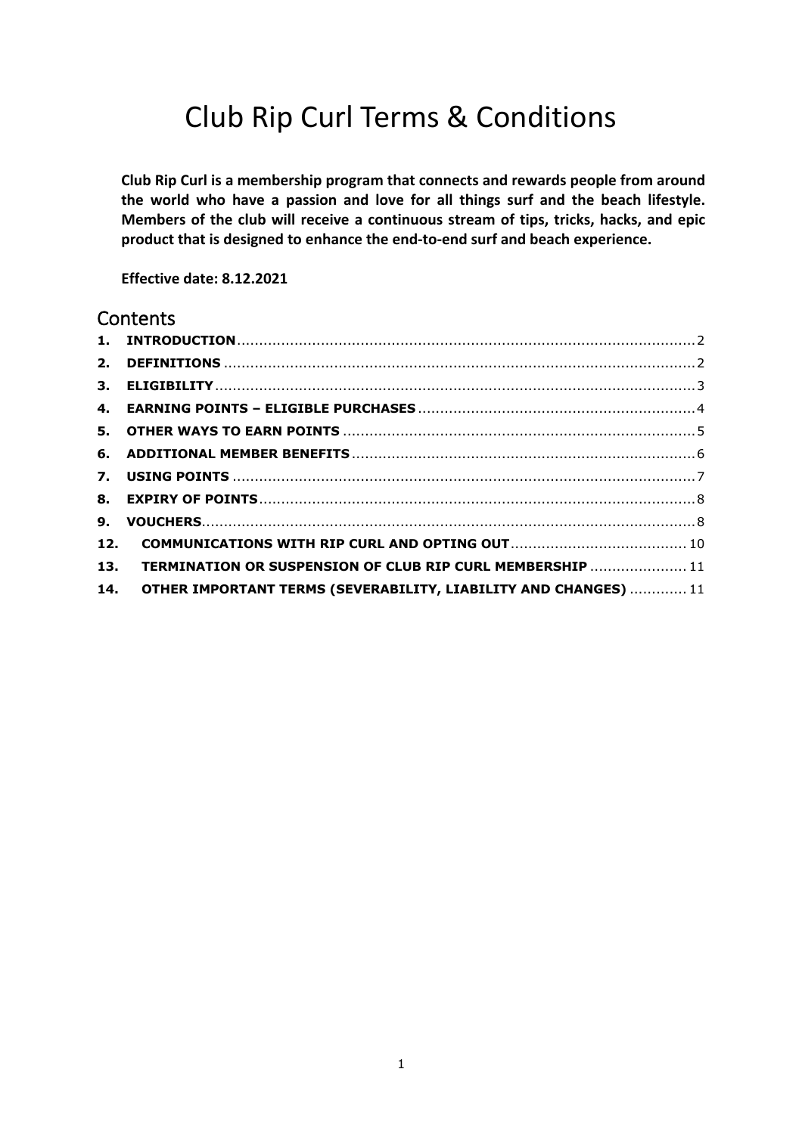# Club Rip Curl Terms & Conditions

**Club Rip Curl is a membership program that connects and rewards people from around the world who have a passion and love for all things surf and the beach lifestyle. Members of the club will receive a continuous stream of tips, tricks, hacks, and epic product that is designed to enhance the end-to-end surf and beach experience.**

**Effective date: 8.12.2021**

## **Contents**

| 13. TERMINATION OR SUSPENSION OF CLUB RIP CURL MEMBERSHIP  11       |  |
|---------------------------------------------------------------------|--|
| 14. OTHER IMPORTANT TERMS (SEVERABILITY, LIABILITY AND CHANGES)  11 |  |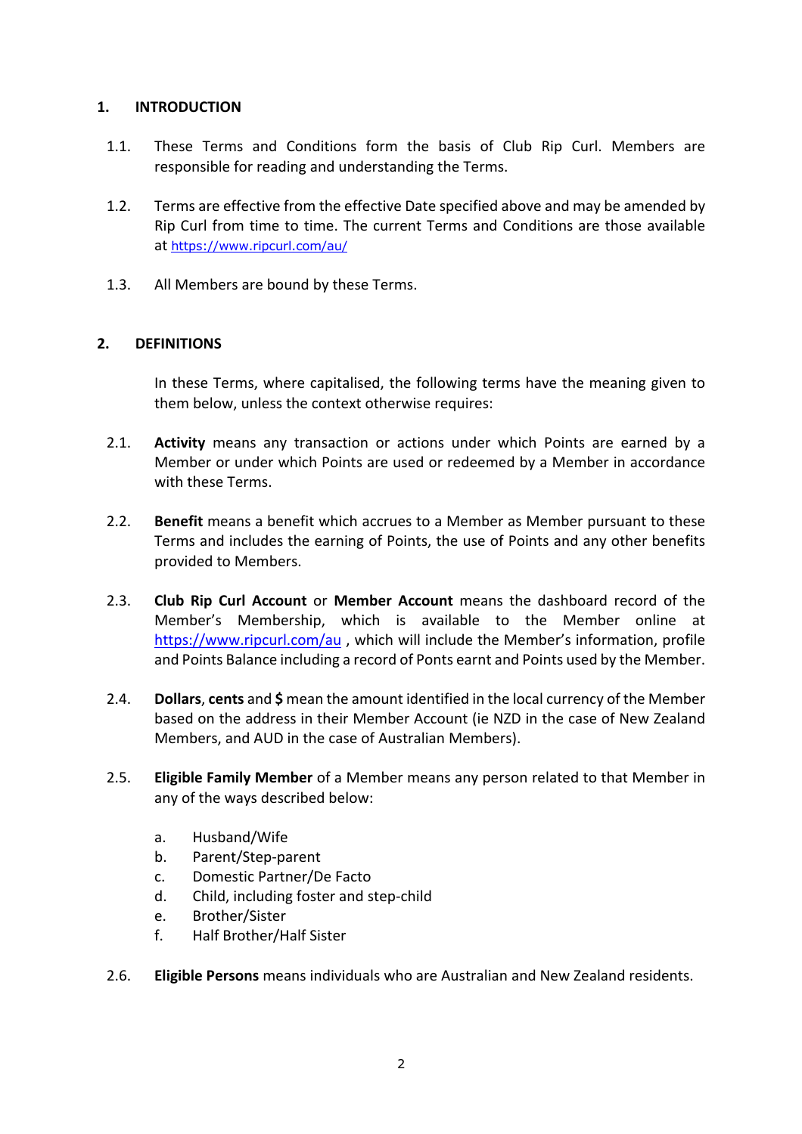## **1. INTRODUCTION**

- 1.1. These Terms and Conditions form the basis of Club Rip Curl. Members are responsible for reading and understanding the Terms.
- 1.2. Terms are effective from the effective Date specified above and may be amended by Rip Curl from time to time. The current Terms and Conditions are those available at https://www.ripcurl.com/au/
- 1.3. All Members are bound by these Terms.

## **2. DEFINITIONS**

In these Terms, where capitalised, the following terms have the meaning given to them below, unless the context otherwise requires:

- 2.1. **Activity** means any transaction or actions under which Points are earned by a Member or under which Points are used or redeemed by a Member in accordance with these Terms.
- 2.2. **Benefit** means a benefit which accrues to a Member as Member pursuant to these Terms and includes the earning of Points, the use of Points and any other benefits provided to Members.
- 2.3. **Club Rip Curl Account** or **Member Account** means the dashboard record of the Member's Membership, which is available to the Member online at https://www.ripcurl.com/au , which will include the Member's information, profile and Points Balance including a record of Ponts earnt and Points used by the Member.
- 2.4. **Dollars**, **cents** and **\$** mean the amount identified in the local currency of the Member based on the address in their Member Account (ie NZD in the case of New Zealand Members, and AUD in the case of Australian Members).
- 2.5. **Eligible Family Member** of a Member means any person related to that Member in any of the ways described below:
	- a. Husband/Wife
	- b. Parent/Step-parent
	- c. Domestic Partner/De Facto
	- d. Child, including foster and step-child
	- e. Brother/Sister
	- f. Half Brother/Half Sister
- 2.6. **Eligible Persons** means individuals who are Australian and New Zealand residents.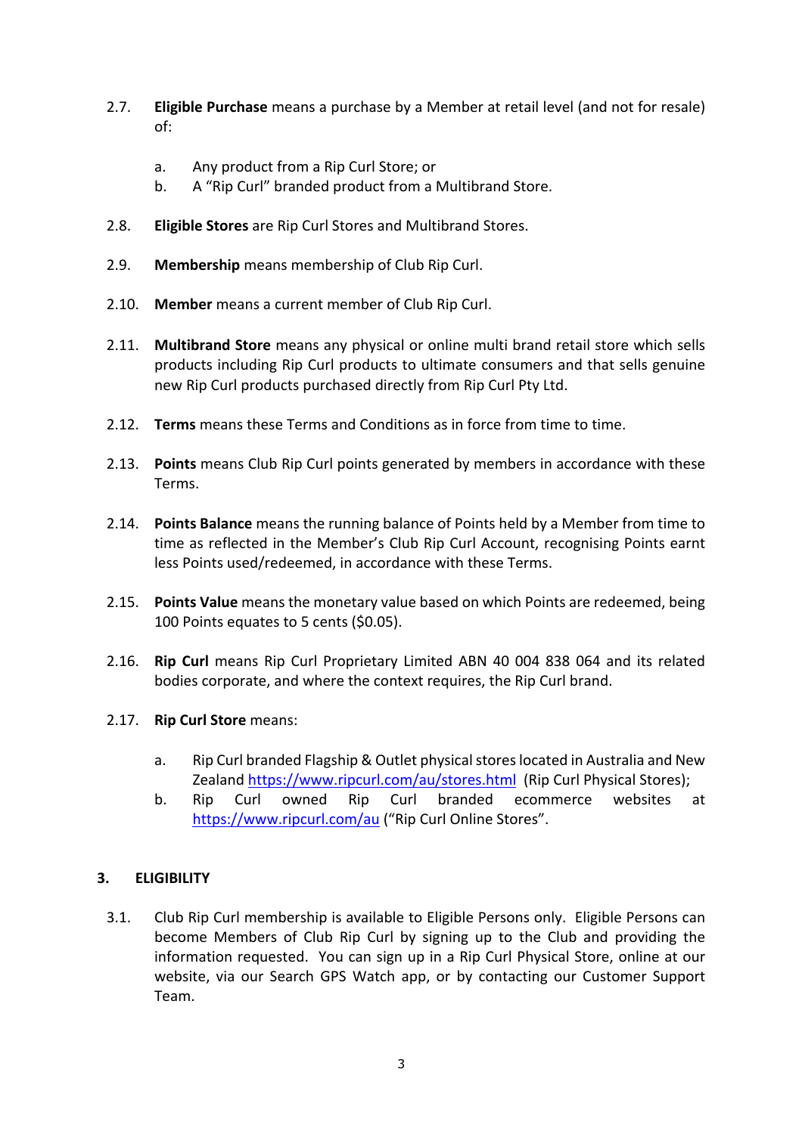- 2.7. **Eligible Purchase** means a purchase by a Member at retail level (and not for resale) of:
	- a. Any product from a Rip Curl Store; or
	- b. A "Rip Curl" branded product from a Multibrand Store.
- 2.8. **Eligible Stores** are Rip Curl Stores and Multibrand Stores.
- 2.9. **Membership** means membership of Club Rip Curl.
- 2.10. **Member** means a current member of Club Rip Curl.
- 2.11. **Multibrand Store** means any physical or online multi brand retail store which sells products including Rip Curl products to ultimate consumers and that sells genuine new Rip Curl products purchased directly from Rip Curl Pty Ltd.
- 2.12. **Terms** means these Terms and Conditions as in force from time to time.
- 2.13. **Points** means Club Rip Curl points generated by members in accordance with these Terms.
- 2.14. **Points Balance** means the running balance of Points held by a Member from time to time as reflected in the Member's Club Rip Curl Account, recognising Points earnt less Points used/redeemed, in accordance with these Terms.
- 2.15. **Points Value** means the monetary value based on which Points are redeemed, being 100 Points equates to 5 cents (\$0.05).
- 2.16. **Rip Curl** means Rip Curl Proprietary Limited ABN 40 004 838 064 and its related bodies corporate, and where the context requires, the Rip Curl brand.
- 2.17. **Rip Curl Store** means:
	- a. Rip Curl branded Flagship & Outlet physical stores located in Australia and New Zealand https://www.ripcurl.com/au/stores.html (Rip Curl Physical Stores);
	- b. Rip Curl owned Rip Curl branded ecommerce websites at https://www.ripcurl.com/au ("Rip Curl Online Stores".

## **3. ELIGIBILITY**

3.1. Club Rip Curl membership is available to Eligible Persons only. Eligible Persons can become Members of Club Rip Curl by signing up to the Club and providing the information requested. You can sign up in a Rip Curl Physical Store, online at our website, via our Search GPS Watch app, or by contacting our Customer Support Team.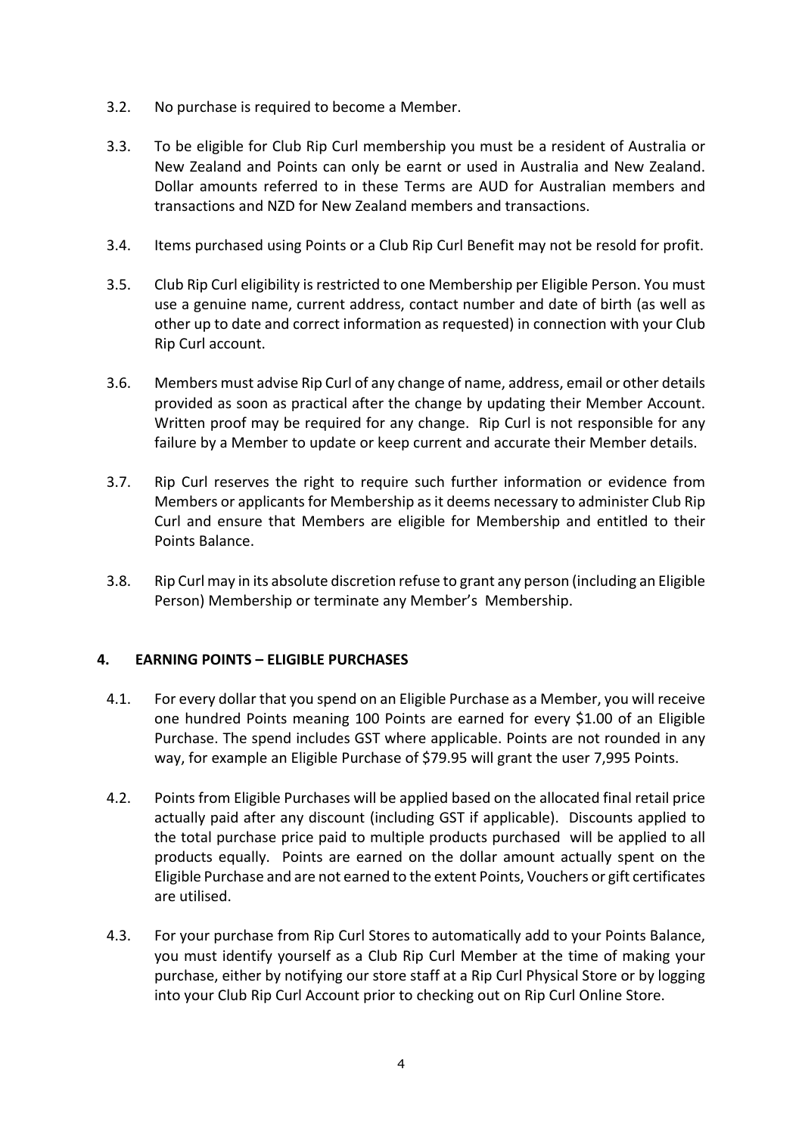- 3.2. No purchase is required to become a Member.
- 3.3. To be eligible for Club Rip Curl membership you must be a resident of Australia or New Zealand and Points can only be earnt or used in Australia and New Zealand. Dollar amounts referred to in these Terms are AUD for Australian members and transactions and NZD for New Zealand members and transactions.
- 3.4. Items purchased using Points or a Club Rip Curl Benefit may not be resold for profit.
- 3.5. Club Rip Curl eligibility is restricted to one Membership per Eligible Person. You must use a genuine name, current address, contact number and date of birth (as well as other up to date and correct information as requested) in connection with your Club Rip Curl account.
- 3.6. Members must advise Rip Curl of any change of name, address, email or other details provided as soon as practical after the change by updating their Member Account. Written proof may be required for any change. Rip Curl is not responsible for any failure by a Member to update or keep current and accurate their Member details.
- 3.7. Rip Curl reserves the right to require such further information or evidence from Members or applicants for Membership as it deems necessary to administer Club Rip Curl and ensure that Members are eligible for Membership and entitled to their Points Balance.
- 3.8. Rip Curl may in its absolute discretion refuse to grant any person (including an Eligible Person) Membership or terminate any Member's Membership.

## **4. EARNING POINTS – ELIGIBLE PURCHASES**

- 4.1. For every dollar that you spend on an Eligible Purchase as a Member, you will receive one hundred Points meaning 100 Points are earned for every \$1.00 of an Eligible Purchase. The spend includes GST where applicable. Points are not rounded in any way, for example an Eligible Purchase of \$79.95 will grant the user 7,995 Points.
- 4.2. Points from Eligible Purchases will be applied based on the allocated final retail price actually paid after any discount (including GST if applicable). Discounts applied to the total purchase price paid to multiple products purchased will be applied to all products equally. Points are earned on the dollar amount actually spent on the Eligible Purchase and are not earned to the extent Points, Vouchers or gift certificates are utilised.
- 4.3. For your purchase from Rip Curl Stores to automatically add to your Points Balance, you must identify yourself as a Club Rip Curl Member at the time of making your purchase, either by notifying our store staff at a Rip Curl Physical Store or by logging into your Club Rip Curl Account prior to checking out on Rip Curl Online Store.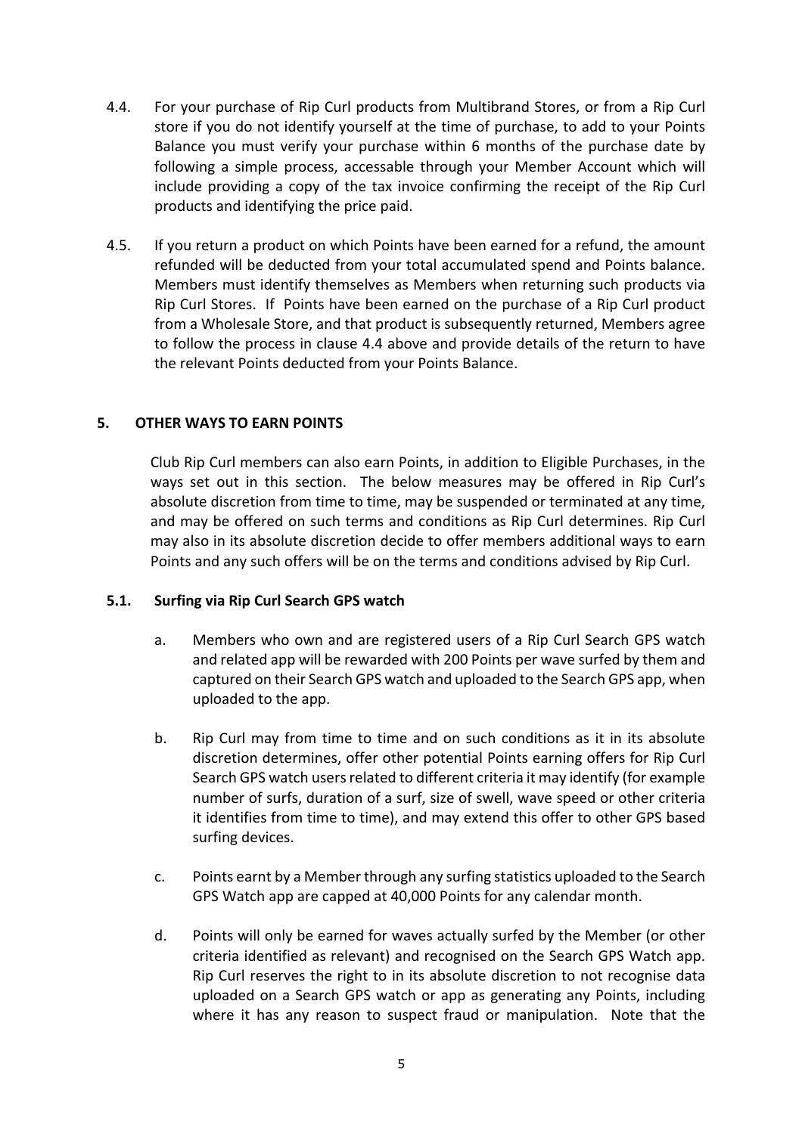- 4.4. For your purchase of Rip Curl products from Multibrand Stores, or from a Rip Curl store if you do not identify yourself at the time of purchase, to add to your Points Balance you must verify your purchase within 6 months of the purchase date by following a simple process, accessable through your Member Account which will include providing a copy of the tax invoice confirming the receipt of the Rip Curl products and identifying the price paid.
- 4.5. If you return a product on which Points have been earned for a refund, the amount refunded will be deducted from your total accumulated spend and Points balance. Members must identify themselves as Members when returning such products via Rip Curl Stores. If Points have been earned on the purchase of a Rip Curl product from a Wholesale Store, and that product is subsequently returned, Members agree to follow the process in clause 4.4 above and provide details of the return to have the relevant Points deducted from your Points Balance.

#### **5. OTHER WAYS TO EARN POINTS**

Club Rip Curl members can also earn Points, in addition to Eligible Purchases, in the ways set out in this section. The below measures may be offered in Rip Curl's absolute discretion from time to time, may be suspended or terminated at any time, and may be offered on such terms and conditions as Rip Curl determines. Rip Curl may also in its absolute discretion decide to offer members additional ways to earn Points and any such offers will be on the terms and conditions advised by Rip Curl.

#### **5.1. Surfing via Rip Curl Search GPS watch**

- a. Members who own and are registered users of a Rip Curl Search GPS watch and related app will be rewarded with 200 Points per wave surfed by them and captured on their Search GPS watch and uploaded to the Search GPS app, when uploaded to the app.
- b. Rip Curl may from time to time and on such conditions as it in its absolute discretion determines, offer other potential Points earning offers for Rip Curl Search GPS watch users related to different criteria it may identify (for example number of surfs, duration of a surf, size of swell, wave speed or other criteria it identifies from time to time), and may extend this offer to other GPS based surfing devices.
- c. Points earnt by a Member through any surfing statistics uploaded to the Search GPS Watch app are capped at 40,000 Points for any calendar month.
- d. Points will only be earned for waves actually surfed by the Member (or other criteria identified as relevant) and recognised on the Search GPS Watch app. Rip Curl reserves the right to in its absolute discretion to not recognise data uploaded on a Search GPS watch or app as generating any Points, including where it has any reason to suspect fraud or manipulation. Note that the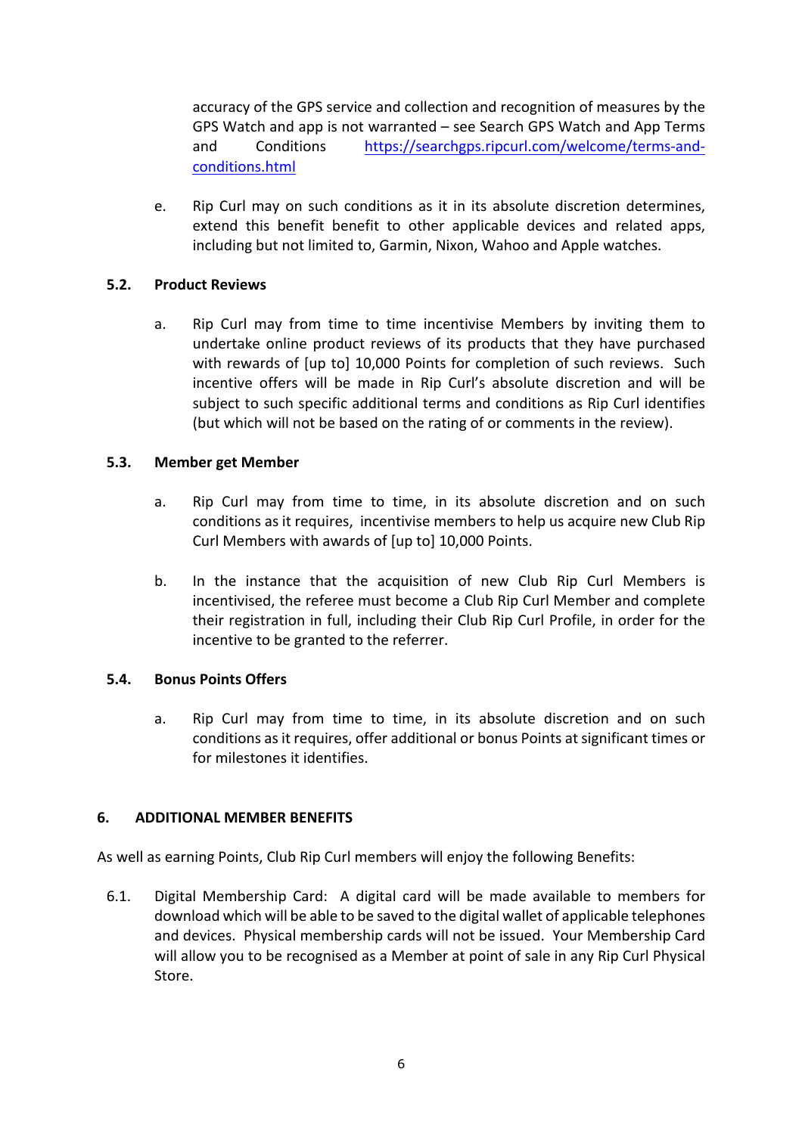accuracy of the GPS service and collection and recognition of measures by the GPS Watch and app is not warranted – see Search GPS Watch and App Terms and Conditions https://searchgps.ripcurl.com/welcome/terms-andconditions.html

e. Rip Curl may on such conditions as it in its absolute discretion determines, extend this benefit benefit to other applicable devices and related apps, including but not limited to, Garmin, Nixon, Wahoo and Apple watches.

## **5.2. Product Reviews**

a. Rip Curl may from time to time incentivise Members by inviting them to undertake online product reviews of its products that they have purchased with rewards of [up to] 10,000 Points for completion of such reviews. Such incentive offers will be made in Rip Curl's absolute discretion and will be subject to such specific additional terms and conditions as Rip Curl identifies (but which will not be based on the rating of or comments in the review).

#### **5.3. Member get Member**

- a. Rip Curl may from time to time, in its absolute discretion and on such conditions as it requires, incentivise members to help us acquire new Club Rip Curl Members with awards of [up to] 10,000 Points.
- b. In the instance that the acquisition of new Club Rip Curl Members is incentivised, the referee must become a Club Rip Curl Member and complete their registration in full, including their Club Rip Curl Profile, in order for the incentive to be granted to the referrer.

## **5.4. Bonus Points Offers**

a. Rip Curl may from time to time, in its absolute discretion and on such conditions as it requires, offer additional or bonus Points at significant times or for milestones it identifies.

## **6. ADDITIONAL MEMBER BENEFITS**

As well as earning Points, Club Rip Curl members will enjoy the following Benefits:

6.1. Digital Membership Card: A digital card will be made available to members for download which will be able to be saved to the digital wallet of applicable telephones and devices. Physical membership cards will not be issued. Your Membership Card will allow you to be recognised as a Member at point of sale in any Rip Curl Physical Store.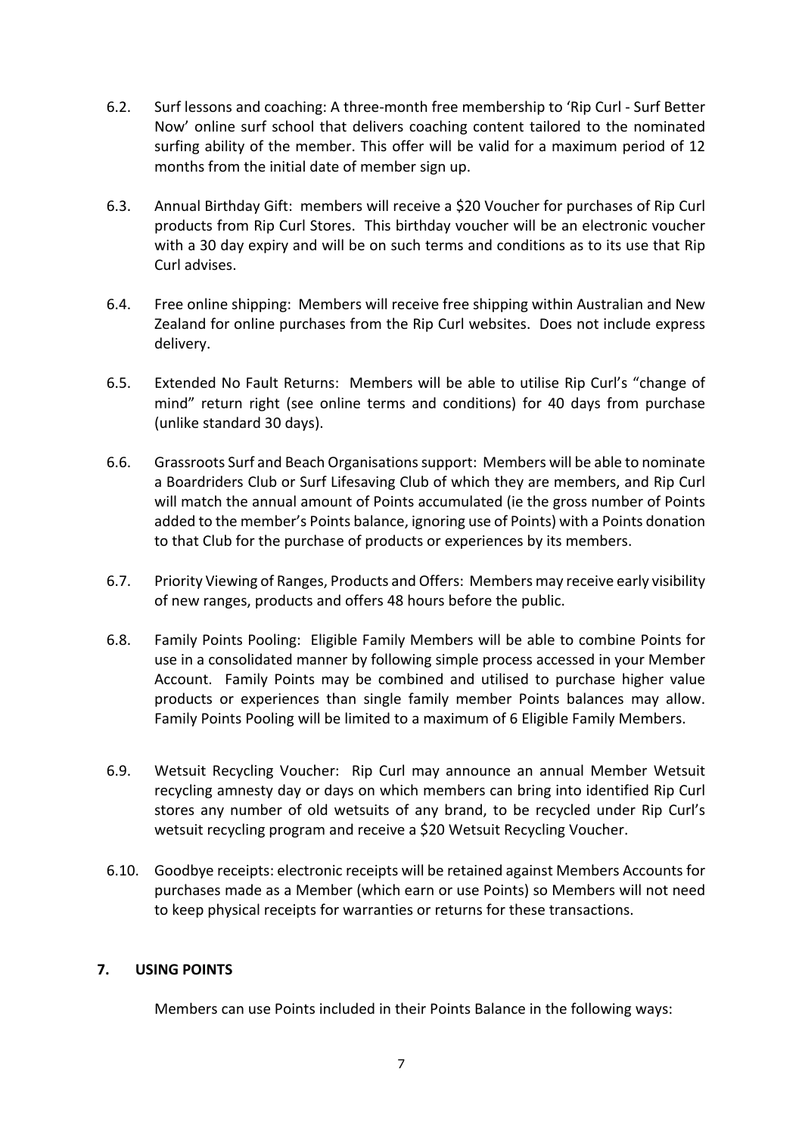- 6.2. Surf lessons and coaching: A three-month free membership to 'Rip Curl Surf Better Now' online surf school that delivers coaching content tailored to the nominated surfing ability of the member. This offer will be valid for a maximum period of 12 months from the initial date of member sign up.
- 6.3. Annual Birthday Gift: members will receive a \$20 Voucher for purchases of Rip Curl products from Rip Curl Stores. This birthday voucher will be an electronic voucher with a 30 day expiry and will be on such terms and conditions as to its use that Rip Curl advises.
- 6.4. Free online shipping: Members will receive free shipping within Australian and New Zealand for online purchases from the Rip Curl websites. Does not include express delivery.
- 6.5. Extended No Fault Returns: Members will be able to utilise Rip Curl's "change of mind" return right (see online terms and conditions) for 40 days from purchase (unlike standard 30 days).
- 6.6. Grassroots Surf and Beach Organisations support: Members will be able to nominate a Boardriders Club or Surf Lifesaving Club of which they are members, and Rip Curl will match the annual amount of Points accumulated (ie the gross number of Points added to the member's Points balance, ignoring use of Points) with a Points donation to that Club for the purchase of products or experiences by its members.
- 6.7. Priority Viewing of Ranges, Products and Offers: Members may receive early visibility of new ranges, products and offers 48 hours before the public.
- 6.8. Family Points Pooling: Eligible Family Members will be able to combine Points for use in a consolidated manner by following simple process accessed in your Member Account. Family Points may be combined and utilised to purchase higher value products or experiences than single family member Points balances may allow. Family Points Pooling will be limited to a maximum of 6 Eligible Family Members.
- 6.9. Wetsuit Recycling Voucher: Rip Curl may announce an annual Member Wetsuit recycling amnesty day or days on which members can bring into identified Rip Curl stores any number of old wetsuits of any brand, to be recycled under Rip Curl's wetsuit recycling program and receive a \$20 Wetsuit Recycling Voucher.
- 6.10. Goodbye receipts: electronic receipts will be retained against Members Accounts for purchases made as a Member (which earn or use Points) so Members will not need to keep physical receipts for warranties or returns for these transactions.

## **7. USING POINTS**

Members can use Points included in their Points Balance in the following ways: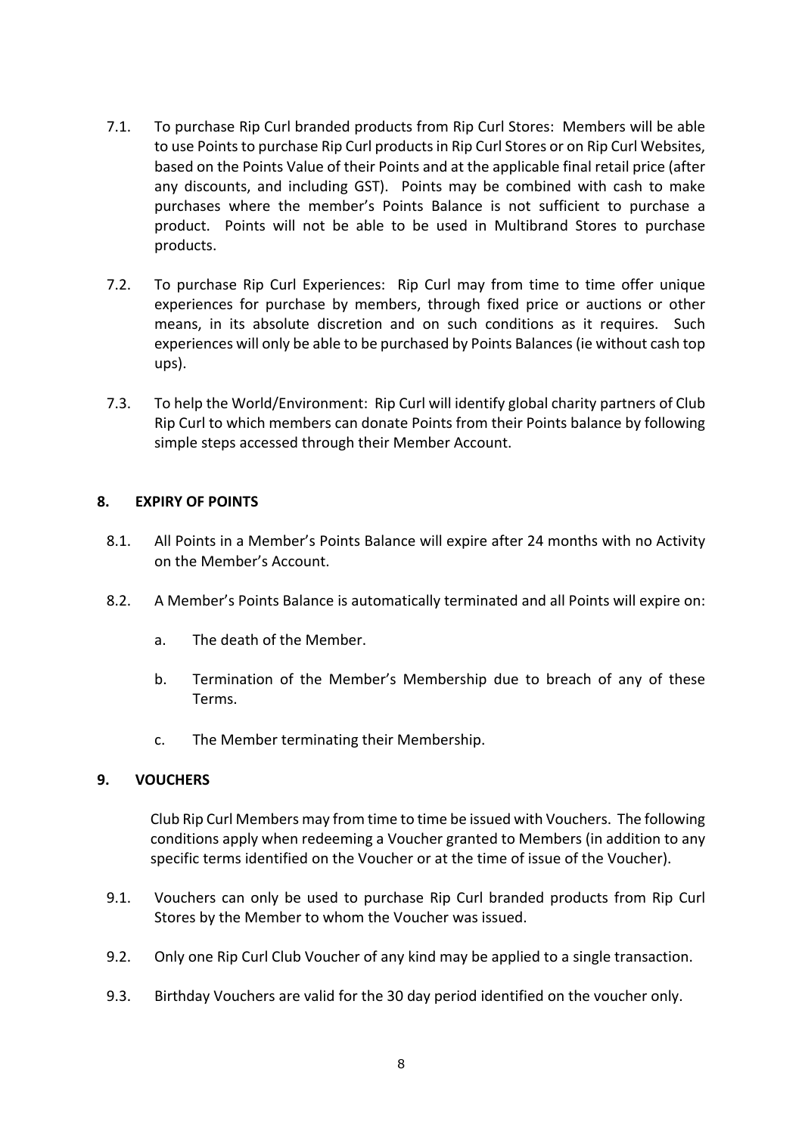- 7.1. To purchase Rip Curl branded products from Rip Curl Stores: Members will be able to use Points to purchase Rip Curl products in Rip Curl Stores or on Rip Curl Websites, based on the Points Value of their Points and at the applicable final retail price (after any discounts, and including GST). Points may be combined with cash to make purchases where the member's Points Balance is not sufficient to purchase a product. Points will not be able to be used in Multibrand Stores to purchase products.
- 7.2. To purchase Rip Curl Experiences: Rip Curl may from time to time offer unique experiences for purchase by members, through fixed price or auctions or other means, in its absolute discretion and on such conditions as it requires. Such experiences will only be able to be purchased by Points Balances (ie without cash top ups).
- 7.3. To help the World/Environment: Rip Curl will identify global charity partners of Club Rip Curl to which members can donate Points from their Points balance by following simple steps accessed through their Member Account.

#### **8. EXPIRY OF POINTS**

- 8.1. All Points in a Member's Points Balance will expire after 24 months with no Activity on the Member's Account.
- 8.2. A Member's Points Balance is automatically terminated and all Points will expire on:
	- a. The death of the Member.
	- b. Termination of the Member's Membership due to breach of any of these Terms.
	- c. The Member terminating their Membership.

#### **9. VOUCHERS**

Club Rip Curl Members may from time to time be issued with Vouchers. The following conditions apply when redeeming a Voucher granted to Members (in addition to any specific terms identified on the Voucher or at the time of issue of the Voucher).

- 9.1. Vouchers can only be used to purchase Rip Curl branded products from Rip Curl Stores by the Member to whom the Voucher was issued.
- 9.2. Only one Rip Curl Club Voucher of any kind may be applied to a single transaction.
- 9.3. Birthday Vouchers are valid for the 30 day period identified on the voucher only.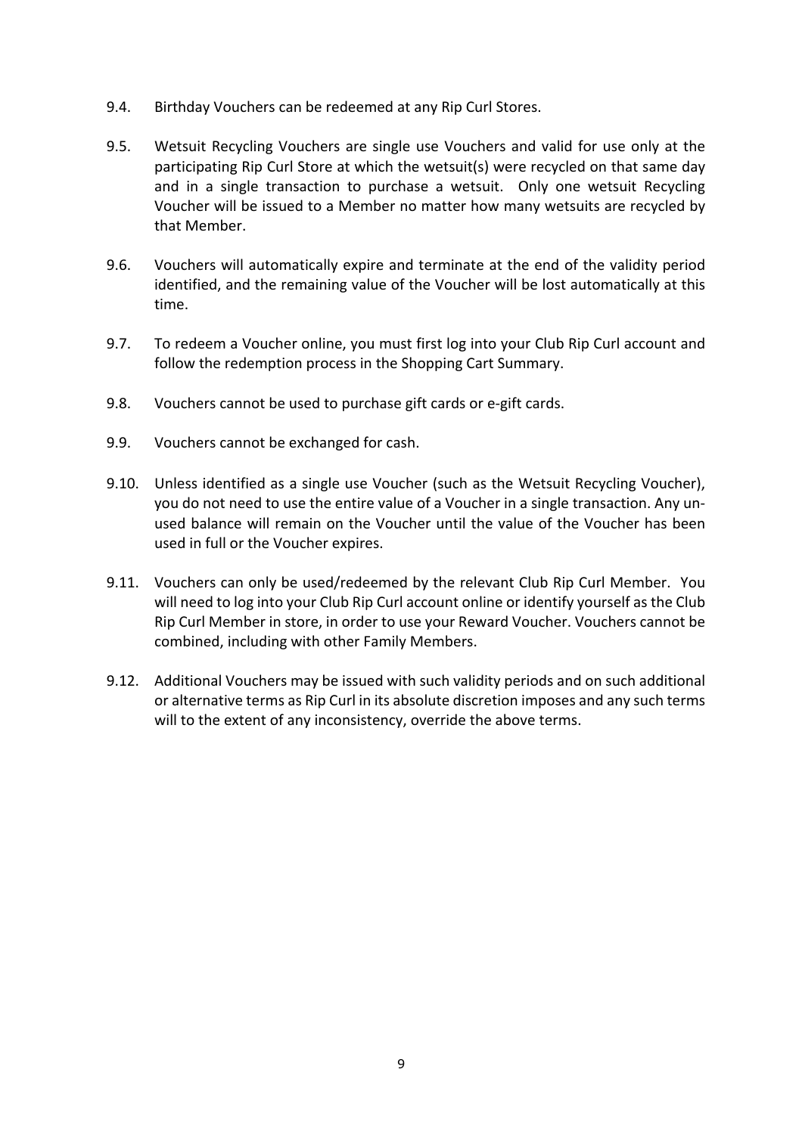- 9.4. Birthday Vouchers can be redeemed at any Rip Curl Stores.
- 9.5. Wetsuit Recycling Vouchers are single use Vouchers and valid for use only at the participating Rip Curl Store at which the wetsuit(s) were recycled on that same day and in a single transaction to purchase a wetsuit. Only one wetsuit Recycling Voucher will be issued to a Member no matter how many wetsuits are recycled by that Member.
- 9.6. Vouchers will automatically expire and terminate at the end of the validity period identified, and the remaining value of the Voucher will be lost automatically at this time.
- 9.7. To redeem a Voucher online, you must first log into your Club Rip Curl account and follow the redemption process in the Shopping Cart Summary.
- 9.8. Vouchers cannot be used to purchase gift cards or e-gift cards.
- 9.9. Vouchers cannot be exchanged for cash.
- 9.10. Unless identified as a single use Voucher (such as the Wetsuit Recycling Voucher), you do not need to use the entire value of a Voucher in a single transaction. Any unused balance will remain on the Voucher until the value of the Voucher has been used in full or the Voucher expires.
- 9.11. Vouchers can only be used/redeemed by the relevant Club Rip Curl Member. You will need to log into your Club Rip Curl account online or identify yourself as the Club Rip Curl Member in store, in order to use your Reward Voucher. Vouchers cannot be combined, including with other Family Members.
- 9.12. Additional Vouchers may be issued with such validity periods and on such additional or alternative terms as Rip Curl in its absolute discretion imposes and any such terms will to the extent of any inconsistency, override the above terms.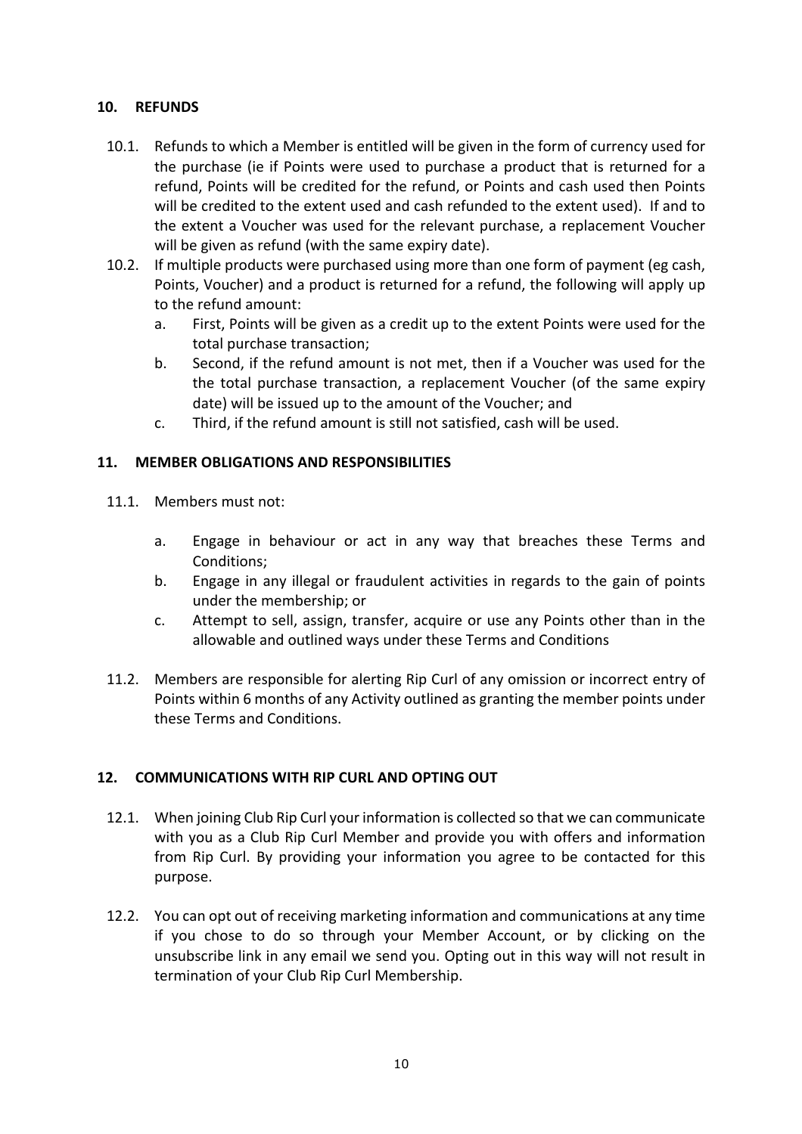## **10. REFUNDS**

- 10.1. Refunds to which a Member is entitled will be given in the form of currency used for the purchase (ie if Points were used to purchase a product that is returned for a refund, Points will be credited for the refund, or Points and cash used then Points will be credited to the extent used and cash refunded to the extent used). If and to the extent a Voucher was used for the relevant purchase, a replacement Voucher will be given as refund (with the same expiry date).
- 10.2. If multiple products were purchased using more than one form of payment (eg cash, Points, Voucher) and a product is returned for a refund, the following will apply up to the refund amount:
	- a. First, Points will be given as a credit up to the extent Points were used for the total purchase transaction;
	- b. Second, if the refund amount is not met, then if a Voucher was used for the the total purchase transaction, a replacement Voucher (of the same expiry date) will be issued up to the amount of the Voucher; and
	- c. Third, if the refund amount is still not satisfied, cash will be used.

## **11. MEMBER OBLIGATIONS AND RESPONSIBILITIES**

- 11.1. Members must not:
	- a. Engage in behaviour or act in any way that breaches these Terms and Conditions;
	- b. Engage in any illegal or fraudulent activities in regards to the gain of points under the membership; or
	- c. Attempt to sell, assign, transfer, acquire or use any Points other than in the allowable and outlined ways under these Terms and Conditions
- 11.2. Members are responsible for alerting Rip Curl of any omission or incorrect entry of Points within 6 months of any Activity outlined as granting the member points under these Terms and Conditions.

## **12. COMMUNICATIONS WITH RIP CURL AND OPTING OUT**

- 12.1. When joining Club Rip Curl your information is collected so that we can communicate with you as a Club Rip Curl Member and provide you with offers and information from Rip Curl. By providing your information you agree to be contacted for this purpose.
- 12.2. You can opt out of receiving marketing information and communications at any time if you chose to do so through your Member Account, or by clicking on the unsubscribe link in any email we send you. Opting out in this way will not result in termination of your Club Rip Curl Membership.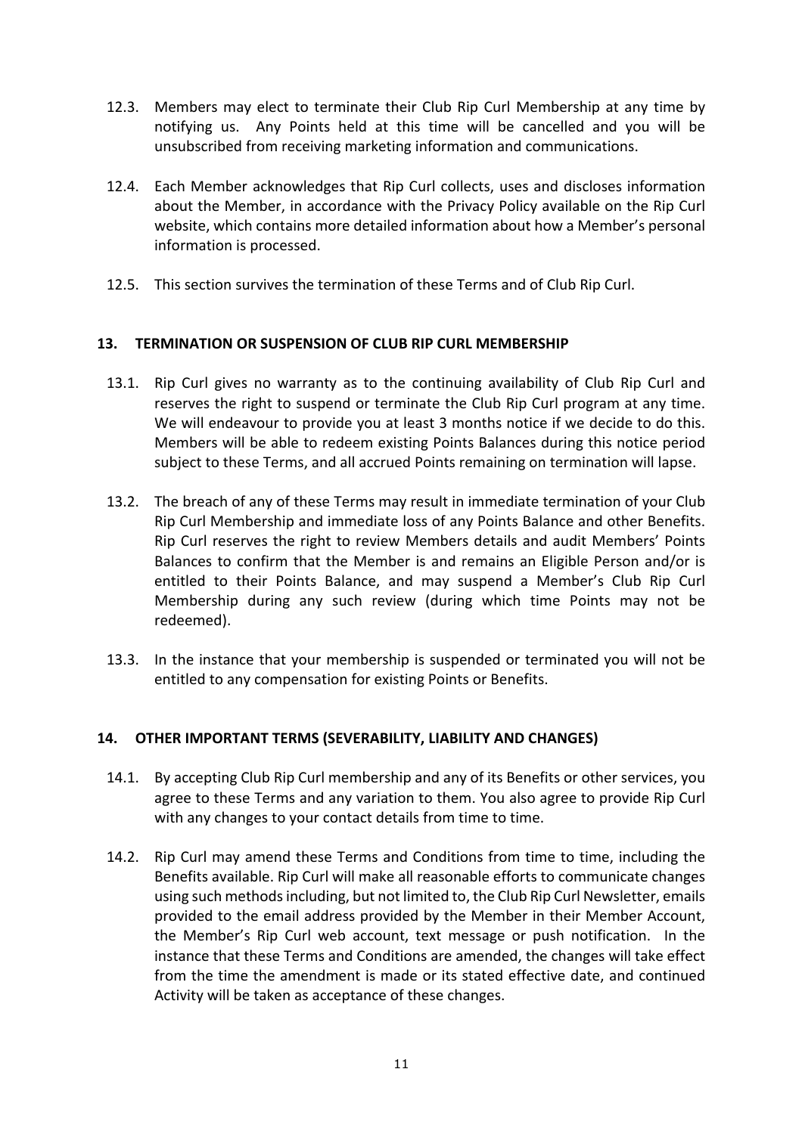- 12.3. Members may elect to terminate their Club Rip Curl Membership at any time by notifying us. Any Points held at this time will be cancelled and you will be unsubscribed from receiving marketing information and communications.
- 12.4. Each Member acknowledges that Rip Curl collects, uses and discloses information about the Member, in accordance with the Privacy Policy available on the Rip Curl website, which contains more detailed information about how a Member's personal information is processed.
- 12.5. This section survives the termination of these Terms and of Club Rip Curl.

## **13. TERMINATION OR SUSPENSION OF CLUB RIP CURL MEMBERSHIP**

- 13.1. Rip Curl gives no warranty as to the continuing availability of Club Rip Curl and reserves the right to suspend or terminate the Club Rip Curl program at any time. We will endeavour to provide you at least 3 months notice if we decide to do this. Members will be able to redeem existing Points Balances during this notice period subject to these Terms, and all accrued Points remaining on termination will lapse.
- 13.2. The breach of any of these Terms may result in immediate termination of your Club Rip Curl Membership and immediate loss of any Points Balance and other Benefits. Rip Curl reserves the right to review Members details and audit Members' Points Balances to confirm that the Member is and remains an Eligible Person and/or is entitled to their Points Balance, and may suspend a Member's Club Rip Curl Membership during any such review (during which time Points may not be redeemed).
- 13.3. In the instance that your membership is suspended or terminated you will not be entitled to any compensation for existing Points or Benefits.

## **14. OTHER IMPORTANT TERMS (SEVERABILITY, LIABILITY AND CHANGES)**

- 14.1. By accepting Club Rip Curl membership and any of its Benefits or other services, you agree to these Terms and any variation to them. You also agree to provide Rip Curl with any changes to your contact details from time to time.
- 14.2. Rip Curl may amend these Terms and Conditions from time to time, including the Benefits available. Rip Curl will make all reasonable efforts to communicate changes using such methods including, but not limited to, the Club Rip Curl Newsletter, emails provided to the email address provided by the Member in their Member Account, the Member's Rip Curl web account, text message or push notification. In the instance that these Terms and Conditions are amended, the changes will take effect from the time the amendment is made or its stated effective date, and continued Activity will be taken as acceptance of these changes.